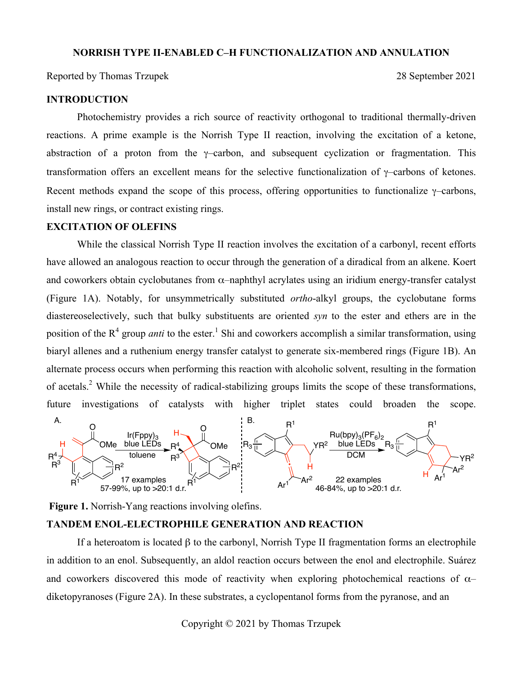#### **NORRISH TYPE II-ENABLED C–H FUNCTIONALIZATION AND ANNULATION**

Reported by Thomas Trzupek 2021

# **INTRODUCTION**

Photochemistry provides a rich source of reactivity orthogonal to traditional thermally-driven reactions. A prime example is the Norrish Type II reaction, involving the excitation of a ketone, abstraction of a proton from the γ–carbon, and subsequent cyclization or fragmentation. This transformation offers an excellent means for the selective functionalization of γ–carbons of ketones. Recent methods expand the scope of this process, offering opportunities to functionalize  $\gamma$ –carbons, install new rings, or contract existing rings.

# **EXCITATION OF OLEFINS**

While the classical Norrish Type II reaction involves the excitation of a carbonyl, recent efforts have allowed an analogous reaction to occur through the generation of a diradical from an alkene. Koert and coworkers obtain cyclobutanes from α–naphthyl acrylates using an iridium energy-transfer catalyst (Figure 1A). Notably, for unsymmetrically substituted *ortho*-alkyl groups, the cyclobutane forms diastereoselectively, such that bulky substituents are oriented *syn* to the ester and ethers are in the position of the R<sup>4</sup> group *anti* to the ester.<sup>1</sup> Shi and coworkers accomplish a similar transformation, using biaryl allenes and a ruthenium energy transfer catalyst to generate six-membered rings (Figure 1B). An alternate process occurs when performing this reaction with alcoholic solvent, resulting in the formation of acetals.<sup>2</sup> While the necessity of radical-stabilizing groups limits the scope of these transformations, future investigations of catalysts with higher triplet states could broaden the scope.



**Figure 1.** Norrish-Yang reactions involving olefins.

#### **TANDEM ENOL-ELECTROPHILE GENERATION AND REACTION**

If a heteroatom is located β to the carbonyl, Norrish Type II fragmentation forms an electrophile in addition to an enol. Subsequently, an aldol reaction occurs between the enol and electrophile. Suárez and coworkers discovered this mode of reactivity when exploring photochemical reactions of  $\alpha$ – diketopyranoses (Figure 2A). In these substrates, a cyclopentanol forms from the pyranose, and an

Copyright © 2021 by Thomas Trzupek